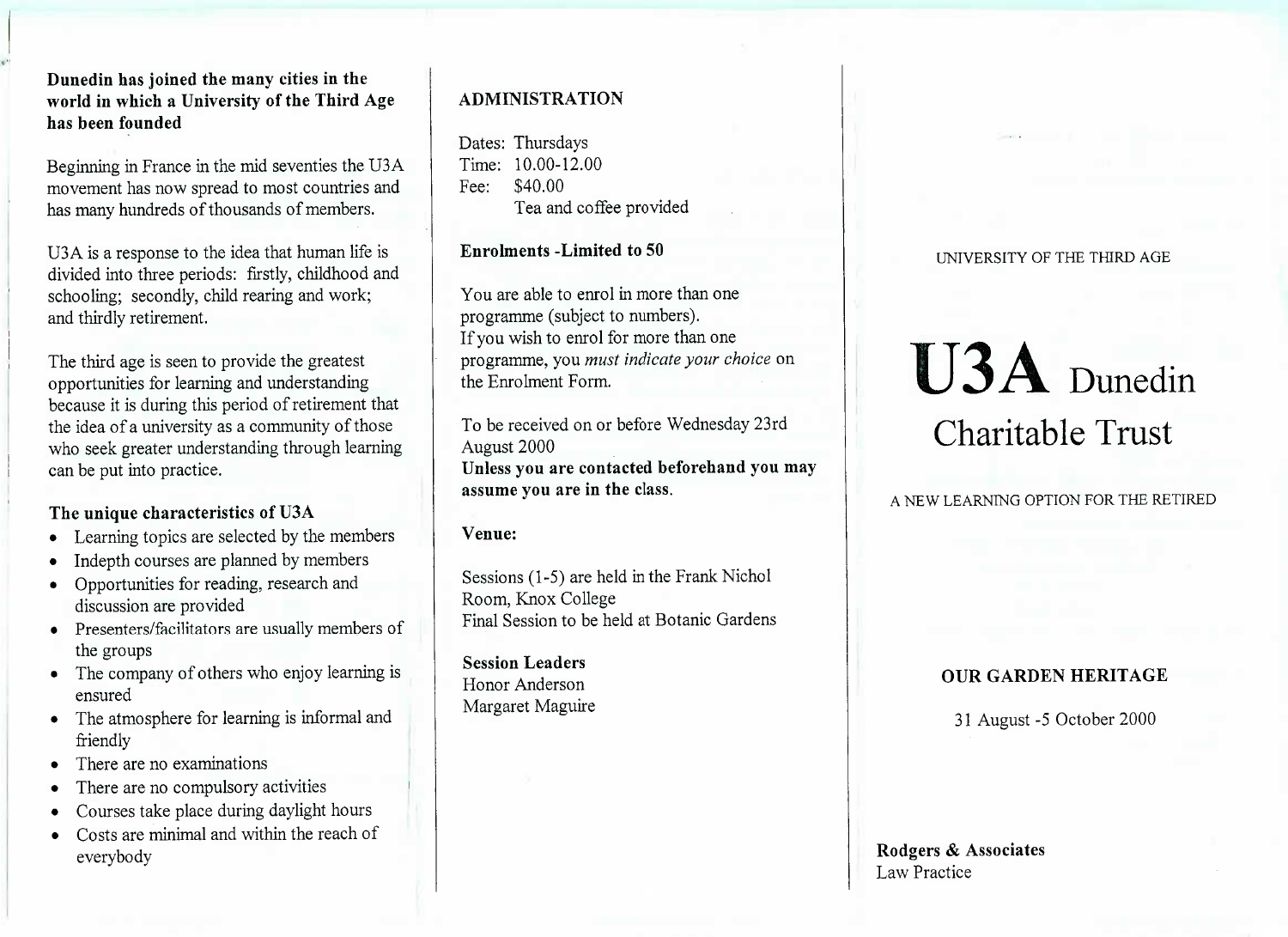# **Dunedin has joined the many cities in the world in which a University of the Third Agehas been founded**

Beginning in France in the mid seventies the U3A movement has now spread to most countries andhas many hundreds of thousands of members.

USA is a response to the idea that human life is divided into three periods: firstly, childhood andschooling; secondly, child rearing and work;and thirdly retirement.

The third age is seen to provide the greatest opportunities for learning and understanding because it is during this period of retirement thatthe idea of a university as a community of those who seek greater understanding through learningcan be put into practice.

# **The unique characteristics of U3A**

- Learning topics are selected by the members
- Indepth courses are planned by members
- Opportunities for reading, research anddiscussion are provided
- Presenters/facilitators are usually members ofthe groups
- The company of others who enjoy learning isensured
- The atmosphere for learning is informal andfriendly
- There are no examinations
- There are no compulsory activities
- Courses take place during daylight hours
- Costs are minimal and within the reach of everybody

# **ADMINISTRATION**

Dates: Thursdays Time: 10.00-12.00Fee: \$40.00Fea and coffee provided

**Enrolments -Limited to 50**

You are able to enrol in more than oneprogramme (subject to numbers). If you wish to enrol for more than one programme, you *must indicate your choice* onthe Enrolment Form.

To be received on or before Wednesday 23rdAugust 2000 **Unless you are contacted beforehand you mayassume you are in the class.**

## **Venue:**

Sessions (1-5) are held in the Frank NicholRoom, Knox CollegeFinal Session to be held at Botanic Gardens

**Session Leaders** Honor AndersonMargaret Maguire

#### UNIVERSITY OF THE THIRD AGE

# U3A DunedinCharitable Trust

A NEW LEARNING OPTION FOR THE RETIRED

# **OUR GARDEN HERITAGE**

31 August -5 October 2000

**Rodgers & Associates**Law Practice